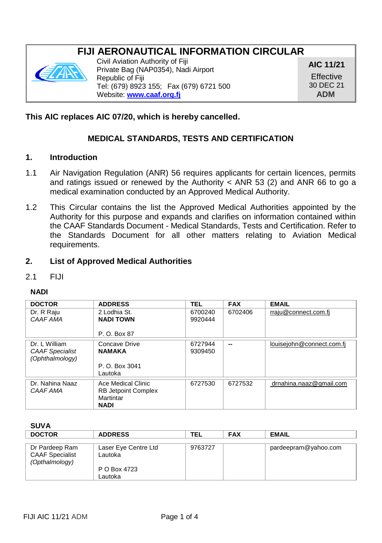# **FIJI AERONAUTICAL INFORMATION CIRCULAR**



Civil Aviation Authority of Fiji Private Bag (NAP0354), Nadi Airport Republic of Fiji Tel: (679) 8923 155; Fax (679) 6721 500 Website: **[www.caaf.org.fj](http://www.caaf.org.fj/)**

**AIC 11/21 Effective** 30 DEC 21 **ADM**

## **This AIC replaces AIC 07/20, which is hereby cancelled.**

## **MEDICAL STANDARDS, TESTS AND CERTIFICATION**

### **1. Introduction**

- 1.1 Air Navigation Regulation (ANR) 56 requires applicants for certain licences, permits and ratings issued or renewed by the Authority  $<$  ANR 53 (2) and ANR 66 to go a medical examination conducted by an Approved Medical Authority.
- 1.2 This Circular contains the list the Approved Medical Authorities appointed by the Authority for this purpose and expands and clarifies on information contained within the CAAF Standards Document - Medical Standards, Tests and Certification. Refer to the Standards Document for all other matters relating to Aviation Medical requirements.

### **2. List of Approved Medical Authorities**

#### 2.1 FIJI

#### **NADI**

| <b>DOCTOR</b>          | <b>ADDRESS</b>             | TEL     | <b>FAX</b> | <b>EMAIL</b>              |
|------------------------|----------------------------|---------|------------|---------------------------|
| Dr. R Raiu             | 2 Lodhia St.               | 6700240 | 6702406    | rraiu@connect.com.fi      |
| CAAF AMA               | <b>NADI TOWN</b>           | 9920444 |            |                           |
|                        |                            |         |            |                           |
|                        | P. O. Box 87               |         |            |                           |
| Dr. L William          | Concave Drive              | 6727944 | --         | louisejohn@connect.com.fj |
| <b>CAAF Specialist</b> | <b>NAMAKA</b>              | 9309450 |            |                           |
| (Ophthalmology)        |                            |         |            |                           |
|                        | P. O. Box 3041             |         |            |                           |
|                        | Lautoka                    |         |            |                           |
| Dr. Nahina Naaz        | Ace Medical Clinic         | 6727530 | 6727532    | drnahina.naaz@gmail.com   |
| CAAF AMA               | <b>RB Jetpoint Complex</b> |         |            |                           |
|                        | Martintar                  |         |            |                           |
|                        | <b>NADI</b>                |         |            |                           |

#### **SUVA**

| <b>DOCTOR</b>          | <b>ADDRESS</b>       | TEL     | <b>FAX</b> | <b>EMAIL</b>         |
|------------------------|----------------------|---------|------------|----------------------|
|                        |                      |         |            |                      |
| Dr Pardeep Ram         | Laser Eye Centre Ltd | 9763727 |            | pardeepram@yahoo.com |
| <b>CAAF Specialist</b> | Lautoka              |         |            |                      |
| (Opthalmology)         |                      |         |            |                      |
|                        | P O Box 4723         |         |            |                      |
|                        | Lautoka              |         |            |                      |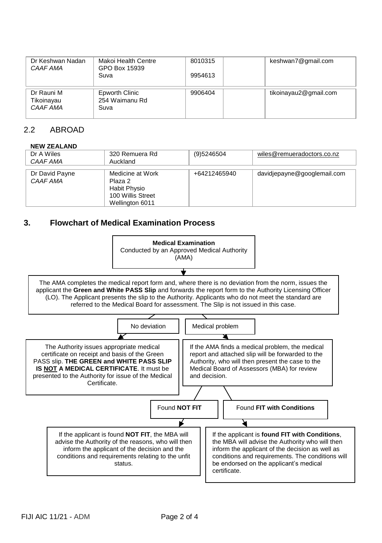| Dr Keshwan Nadan<br>CAAF AMA         | Makoi Health Centre<br>GPO Box 15939<br>Suva | 8010315<br>9954613 | keshwan7@gmail.com    |
|--------------------------------------|----------------------------------------------|--------------------|-----------------------|
| Dr Rauni M<br>Tikoinayau<br>CAAF AMA | Epworth Clinic<br>254 Waimanu Rd<br>Suva     | 9906404            | tikoinayau2@gmail.com |

## 2.2 ABROAD

#### **NEW ZEALAND**

| Dr A Wiles<br>CAAF AMA     | 320 Remuera Rd<br>Auckland                                                          | (9)5246504   | wiles@remueradoctors.co.nz  |
|----------------------------|-------------------------------------------------------------------------------------|--------------|-----------------------------|
| Dr David Payne<br>CAAF AMA | Medicine at Work<br>Plaza 2<br>Habit Physio<br>100 Willis Street<br>Wellington 6011 | +64212465940 | davidjepayne@googlemail.com |

## **3. Flowchart of Medical Examination Process**

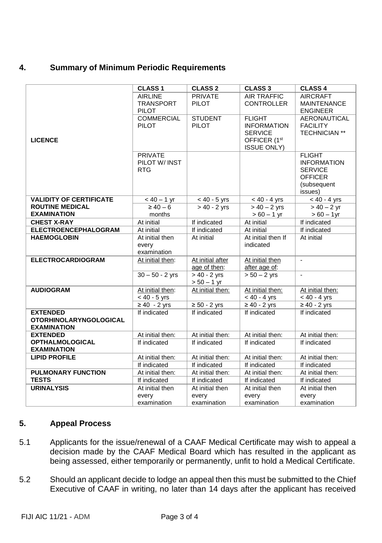## **4. Summary of Minimum Periodic Requirements**

|                                                                        | <b>CLASS 1</b>                                | <b>CLASS 2</b>                          | <b>CLASS 3</b>                                                                                          | <b>CLASS 4</b>                                                                                    |
|------------------------------------------------------------------------|-----------------------------------------------|-----------------------------------------|---------------------------------------------------------------------------------------------------------|---------------------------------------------------------------------------------------------------|
|                                                                        | <b>AIRLINE</b><br><b>TRANSPORT</b><br>PILOT   | <b>PRIVATE</b><br>PILOT                 | <b>AIR TRAFFIC</b><br><b>CONTROLLER</b>                                                                 | <b>AIRCRAFT</b><br><b>MAINTENANCE</b><br><b>ENGINEER</b>                                          |
| <b>LICENCE</b>                                                         | <b>COMMERCIAL</b><br><b>PILOT</b>             | <b>STUDENT</b><br>PILOT                 | <b>FLIGHT</b><br><b>INFORMATION</b><br><b>SERVICE</b><br>OFFICER (1 <sup>st</sup><br><b>ISSUE ONLY)</b> | AERONAUTICAL<br><b>FACILITY</b><br><b>TECHNICIAN **</b>                                           |
|                                                                        | <b>PRIVATE</b><br>PILOT W/ INST<br><b>RTG</b> |                                         |                                                                                                         | <b>FLIGHT</b><br><b>INFORMATION</b><br><b>SERVICE</b><br><b>OFFICER</b><br>(subsequent<br>issues) |
| <b>VALIDITY OF CERTIFICATE</b>                                         | $< 40 - 1$ yr                                 | $< 40 - 5$ yrs                          | $< 40 - 4$ yrs                                                                                          | $< 40 - 4$ yrs                                                                                    |
| <b>ROUTINE MEDICAL</b><br><b>EXAMINATION</b>                           | $\geq 40 - 6$<br>months                       | $> 40 - 2$ yrs                          | $> 40 - 2$ yrs<br>$> 60 - 1$ yr                                                                         | $> 40 - 2$ yr<br>$> 60 - 1$ yr                                                                    |
| <b>CHEST X-RAY</b>                                                     | At initial                                    | If indicated                            | At initial                                                                                              | If indicated                                                                                      |
| <b>ELECTROENCEPHALOGRAM</b>                                            | At initial                                    | If indicated                            | At initial                                                                                              | If indicated                                                                                      |
| <b>HAEMOGLOBIN</b>                                                     | At initial then<br>every<br>examination       | At initial                              | At initial then If<br>indicated                                                                         | At initial                                                                                        |
| <b>ELECTROCARDIOGRAM</b>                                               | At initial then:                              | At initial after<br>age of then:        | At initial then<br>after age of:                                                                        | $\blacksquare$                                                                                    |
|                                                                        | $30 - 50 - 2$ yrs                             | $> 40 - 2$ yrs<br>$> 50 - 1$ yr         | $> 50 - 2$ yrs                                                                                          | ÷.                                                                                                |
| <b>AUDIOGRAM</b>                                                       | At initial then:<br>$< 40 - 5$ yrs            | At initial then:                        | At initial then:<br>$< 40 - 4$ yrs                                                                      | At initial then:<br>$< 40 - 4$ yrs                                                                |
|                                                                        | $\geq 40 - 2$ yrs                             | $\geq 50 - 2$ yrs                       | $\geq 40 - 2$ yrs                                                                                       | $\geq 40 - 2$ yrs                                                                                 |
| <b>EXTENDED</b><br><b>OTORHINOLARYNGOLOGICAL</b><br><b>EXAMINATION</b> | If indicated                                  | If indicated                            | If indicated                                                                                            | If indicated                                                                                      |
| <b>EXTENDED</b>                                                        | At initial then:                              | At initial then:                        | At initial then:                                                                                        | At initial then:                                                                                  |
| <b>OPTHALMOLOGICAL</b><br><b>EXAMINATION</b>                           | If indicated                                  | If indicated                            | If indicated                                                                                            | If indicated                                                                                      |
| <b>LIPID PROFILE</b>                                                   | At initial then:                              | At initial then:                        | At initial then:                                                                                        | At initial then:                                                                                  |
|                                                                        | If indicated                                  | If indicated                            | If indicated                                                                                            | If indicated                                                                                      |
| <b>PULMONARY FUNCTION</b>                                              | At initial then:                              | At initial then:                        | At initial then:                                                                                        | At initial then:                                                                                  |
| <b>TESTS</b>                                                           | If indicated                                  | If indicated                            | If indicated                                                                                            | If indicated                                                                                      |
| <b>URINALYSIS</b>                                                      | At initial then<br>every<br>examination       | At initial then<br>every<br>examination | At initial then<br>every<br>examination                                                                 | At initial then<br>every<br>examination                                                           |
|                                                                        |                                               |                                         |                                                                                                         |                                                                                                   |

## **5. Appeal Process**

- 5.1 Applicants for the issue/renewal of a CAAF Medical Certificate may wish to appeal a decision made by the CAAF Medical Board which has resulted in the applicant as being assessed, either temporarily or permanently, unfit to hold a Medical Certificate.
- 5.2 Should an applicant decide to lodge an appeal then this must be submitted to the Chief Executive of CAAF in writing, no later than 14 days after the applicant has received